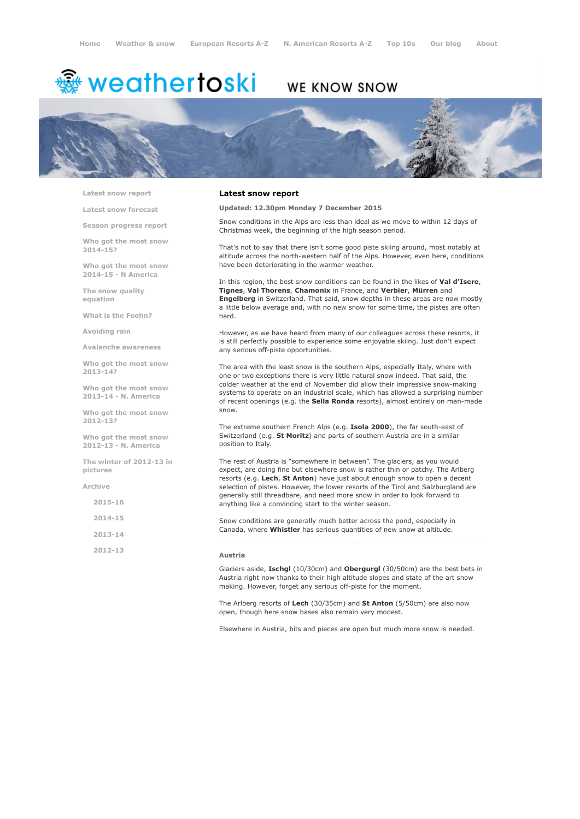# <sup>鑫</sup> weathertoski

## WE KNOW SNOW



Latest snow [report](http://www.weathertoski.co.uk/weather-snow/latest-snow-report/)

Latest snow [forecast](http://www.weathertoski.co.uk/weather-snow/latest-snow-forecast/)

Season [progress](http://www.weathertoski.co.uk/weather-snow/season-progress-report/) report

Who got the most snow 2014-15?

Who got the most snow 2014-15 - N America

The snow quality [equation](http://www.weathertoski.co.uk/weather-snow/the-snow-quality-equation/)

What is the [Foehn?](http://www.weathertoski.co.uk/weather-snow/what-is-the-foehn/)

[Avoiding](http://www.weathertoski.co.uk/weather-snow/avoiding-rain/) rain

Avalanche [awareness](http://www.weathertoski.co.uk/weather-snow/avalanche-awareness/)

Who got the most snow 2013-14?

Who got the most snow 2013-14 - N. America

Who got the most snow 2012-13?

Who got the most snow 2012-13 - N. America

The winter of 2012-13 in pictures

[Archive](http://www.weathertoski.co.uk/weather-snow/archive/)

2015-16

2014-15

2013-14

2012-13

#### Latest snow report

Updated: 12.30pm Monday 7 December 2015

Snow conditions in the Alps are less than ideal as we move to within 12 days of Christmas week, the beginning of the high season period.

That's not to say that there isn't some good piste skiing around, most notably at altitude across the north-western half of the Alps. However, even here, conditions have been deteriorating in the warmer weather.

In this region, the best snow conditions can be found in the likes of Val d'Isere, Tignes, Val Thorens, Chamonix in France, and Verbier, Mürren and Engelberg in Switzerland. That said, snow depths in these areas are now mostly a little below average and, with no new snow for some time, the pistes are often hard.

However, as we have heard from many of our colleagues across these resorts, it is still perfectly possible to experience some enjoyable skiing. Just don't expect any serious off-piste opportunities.

The area with the least snow is the southern Alps, especially Italy, where with one or two exceptions there is very little natural snow indeed. That said, the colder weather at the end of November did allow their impressive snow-making systems to operate on an industrial scale, which has allowed a surprising number of recent openings (e.g. the Sella Ronda resorts), almost entirely on man-made snow.

The extreme southern French Alps (e.g. Isola 2000), the far south-east of Switzerland (e.g. St Moritz) and parts of southern Austria are in a similar position to Italy.

The rest of Austria is "somewhere in between". The glaciers, as you would expect, are doing fine but elsewhere snow is rather thin or patchy. The Arlberg resorts (e.g. Lech, St Anton) have just about enough snow to open a decent selection of pistes. However, the lower resorts of the Tirol and Salzburgland are generally still threadbare, and need more snow in order to look forward to anything like a convincing start to the winter season.

Snow conditions are generally much better across the pond, especially in Canada, where Whistler has serious quantities of new snow at altitude.

#### Austria

Glaciers aside, Ischgl (10/30cm) and Obergurgl (30/50cm) are the best bets in Austria right now thanks to their high altitude slopes and state of the art snow making. However, forget any serious off-piste for the moment.

The Arlberg resorts of Lech (30/35cm) and St Anton (5/50cm) are also now open, though here snow bases also remain very modest.

Elsewhere in Austria, bits and pieces are open but much more snow is needed.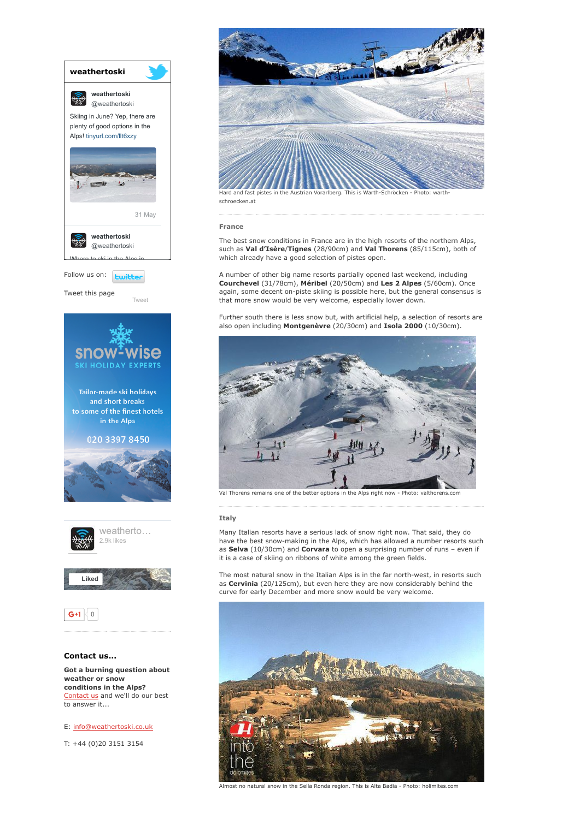

weather or snow conditions in the Alps? [Contact](http://www.weathertoski.co.uk/about-1/contact-us/) us and we'll do our best to answer it...

### E: [info@weathertoski.co.uk](mailto:fraser@weathertoski.co.uk)

T: +44 (0)20 3151 3154



schroecken.at

#### France

The best snow conditions in France are in the high resorts of the northern Alps, such as Val d'Isère/Tignes (28/90cm) and Val Thorens (85/115cm), both of which already have a good selection of pistes open.

A number of other big name resorts partially opened last weekend, including Courchevel (31/78cm), Méribel (20/50cm) and Les 2 Alpes (5/60cm). Once again, some decent on-piste skiing is possible here, but the general consensus is that more snow would be very welcome, especially lower down.

Further south there is less snow but, with artificial help, a selection of resorts are also open including Montgenèvre (20/30cm) and Isola 2000 (10/30cm).



Val Thorens remains one of the better options in the Alps right now - Photo: valthore

#### **Italy**

Many Italian resorts have a serious lack of snow right now. That said, they do have the best snow-making in the Alps, which has allowed a number resorts such as Selva (10/30cm) and Corvara to open a surprising number of runs – even if it is a case of skiing on ribbons of white among the green fields.

The most natural snow in the Italian Alps is in the far north-west, in resorts such as Cervinia (20/125cm), but even here they are now considerably behind the curve for early December and more snow would be very welcome.



Almost no natural snow in the Sella Ronda region. This is Alta Badia Photo: holimites.com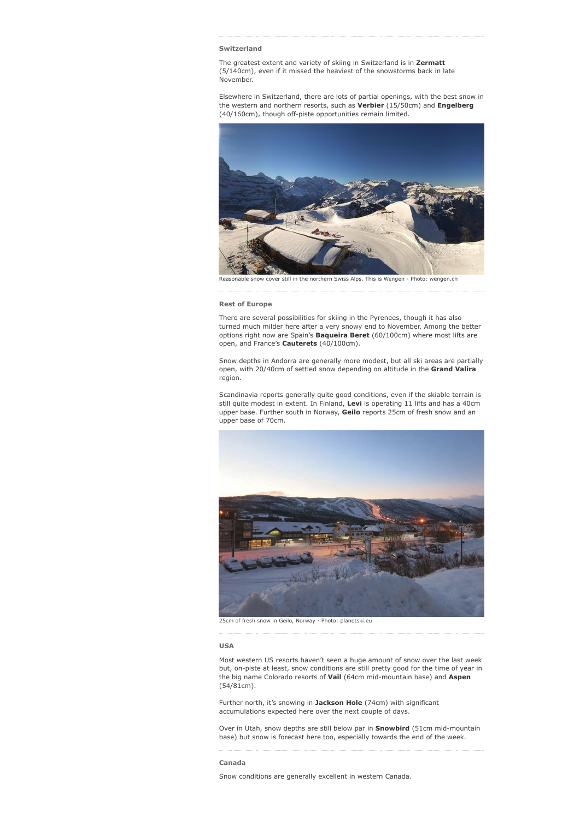#### Switzerland

The greatest extent and variety of skiing in Switzerland is in Zermatt (5/140cm), even if it missed the heaviest of the snowstorms back in late November.

Elsewhere in Switzerland, there are lots of partial openings, with the best snow in the western and northern resorts, such as Verbier (15/50cm) and Engelberg  $(40/160cm)$ , though off-piste opportunities remain limited.



snow cover still in the northern Swiss Alps. This is Wengen - Photo: wengen.ch

#### Rest of Europe

There are several possibilities for skiing in the Pyrenees, though it has also turned much milder here after a very snowy end to November. Among the better options right now are Spain's **Baqueira Beret** (60/100cm) where most lifts are open, and France's Cauterets (40/100cm).

Snow depths in Andorra are generally more modest, but all ski areas are partially open, with 20/40cm of settled snow depending on altitude in the Grand Valira region.

Scandinavia reports generally quite good conditions, even if the skiable terrain is still quite modest in extent. In Finland, Levi is operating 11 lifts and has a 40cm upper base. Further south in Norway, Geilo reports 25cm of fresh snow and an upper base of 70cm.



25cm of fresh snow in Geilo, Norway - Photo: planetski.eu

#### USA

Most western US resorts haven't seen a huge amount of snow over the last week but, on-piste at least, snow conditions are still pretty good for the time of year in the big name Colorado resorts of Vail (64cm mid-mountain base) and Aspen (54/81cm).

Further north, it's snowing in Jackson Hole (74cm) with significant accumulations expected here over the next couple of days.

Over in Utah, snow depths are still below par in **Snowbird** (51cm mid-mountain base) but snow is forecast here too, especially towards the end of the week.

#### Canada

Snow conditions are generally excellent in western Canada.